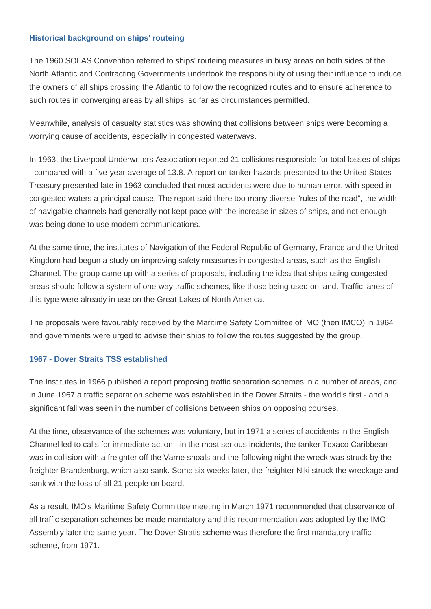## **Historical background on ships' routeing**

The 1960 SOLAS Convention referred to ships' routeing measures in busy areas on both sides of the North Atlantic and Contracting Governments undertook the responsibility of using their influence to induce the owners of all ships crossing the Atlantic to follow the recognized routes and to ensure adherence to such routes in converging areas by all ships, so far as circumstances permitted.

Meanwhile, analysis of casualty statistics was showing that collisions between ships were becoming a worrying cause of accidents, especially in congested waterways.

In 1963, the Liverpool Underwriters Association reported 21 collisions responsible for total losses of ships - compared with a five-year average of 13.8. A report on tanker hazards presented to the United States Treasury presented late in 1963 concluded that most accidents were due to human error, with speed in congested waters a principal cause. The report said there too many diverse "rules of the road", the width of navigable channels had generally not kept pace with the increase in sizes of ships, and not enough was being done to use modern communications.

At the same time, the institutes of Navigation of the Federal Republic of Germany, France and the United Kingdom had begun a study on improving safety measures in congested areas, such as the English Channel. The group came up with a series of proposals, including the idea that ships using congested areas should follow a system of one-way traffic schemes, like those being used on land. Traffic lanes of this type were already in use on the Great Lakes of North America.

The proposals were favourably received by the Maritime Safety Committee of IMO (then IMCO) in 1964 and governments were urged to advise their ships to follow the routes suggested by the group.

## **1967 - Dover Straits TSS established**

The Institutes in 1966 published a report proposing traffic separation schemes in a number of areas, and in June 1967 a traffic separation scheme was established in the Dover Straits - the world's first - and a significant fall was seen in the number of collisions between ships on opposing courses.

At the time, observance of the schemes was voluntary, but in 1971 a series of accidents in the English Channel led to calls for immediate action - in the most serious incidents, the tanker Texaco Caribbean was in collision with a freighter off the Varne shoals and the following night the wreck was struck by the freighter Brandenburg, which also sank. Some six weeks later, the freighter Niki struck the wreckage and sank with the loss of all 21 people on board.

As a result, IMO's Maritime Safety Committee meeting in March 1971 recommended that observance of all traffic separation schemes be made mandatory and this recommendation was adopted by the IMO Assembly later the same year. The Dover Stratis scheme was therefore the first mandatory traffic scheme, from 1971.